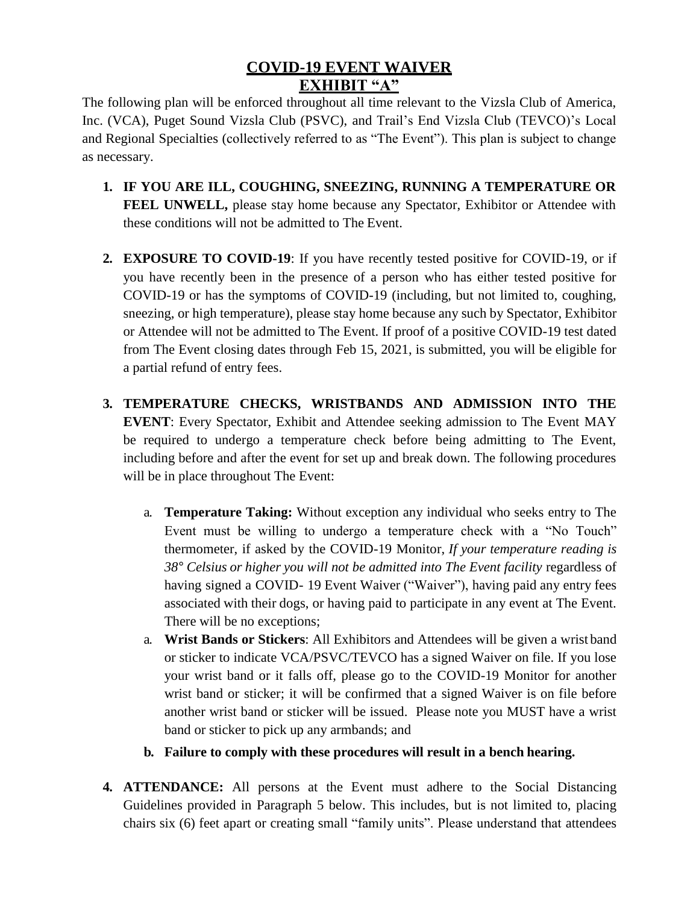## **COVID-19 EVENT WAIVER EXHIBIT "A"**

The following plan will be enforced throughout all time relevant to the Vizsla Club of America, Inc. (VCA), Puget Sound Vizsla Club (PSVC), and Trail's End Vizsla Club (TEVCO)'s Local and Regional Specialties (collectively referred to as "The Event"). This plan is subject to change as necessary.

- **1. IF YOU ARE ILL, COUGHING, SNEEZING, RUNNING A TEMPERATURE OR FEEL UNWELL,** please stay home because any Spectator, Exhibitor or Attendee with these conditions will not be admitted to The Event.
- **2. EXPOSURE TO COVID-19**: If you have recently tested positive for COVID-19, or if you have recently been in the presence of a person who has either tested positive for COVID-19 or has the symptoms of COVID-19 (including, but not limited to, coughing, sneezing, or high temperature), please stay home because any such by Spectator, Exhibitor or Attendee will not be admitted to The Event. If proof of a positive COVID-19 test dated from The Event closing dates through Feb 15, 2021, is submitted, you will be eligible for a partial refund of entry fees.
- **3. TEMPERATURE CHECKS, WRISTBANDS AND ADMISSION INTO THE EVENT**: Every Spectator, Exhibit and Attendee seeking admission to The Event MAY be required to undergo a temperature check before being admitting to The Event, including before and after the event for set up and break down. The following procedures will be in place throughout The Event:
	- a. **Temperature Taking:** Without exception any individual who seeks entry to The Event must be willing to undergo a temperature check with a "No Touch" thermometer, if asked by the COVID-19 Monitor, *If your temperature reading is 38° Celsius or higher you will not be admitted into The Event facility* regardless of having signed a COVID- 19 Event Waiver ("Waiver"), having paid any entry fees associated with their dogs, or having paid to participate in any event at The Event. There will be no exceptions;
	- a. **Wrist Bands or Stickers**: All Exhibitors and Attendees will be given a wrist band or sticker to indicate VCA/PSVC/TEVCO has a signed Waiver on file. If you lose your wrist band or it falls off, please go to the COVID-19 Monitor for another wrist band or sticker; it will be confirmed that a signed Waiver is on file before another wrist band or sticker will be issued. Please note you MUST have a wrist band or sticker to pick up any armbands; and
	- **b. Failure to comply with these procedures will result in a bench hearing.**
- **4. ATTENDANCE:** All persons at the Event must adhere to the Social Distancing Guidelines provided in Paragraph 5 below. This includes, but is not limited to, placing chairs six (6) feet apart or creating small "family units". Please understand that attendees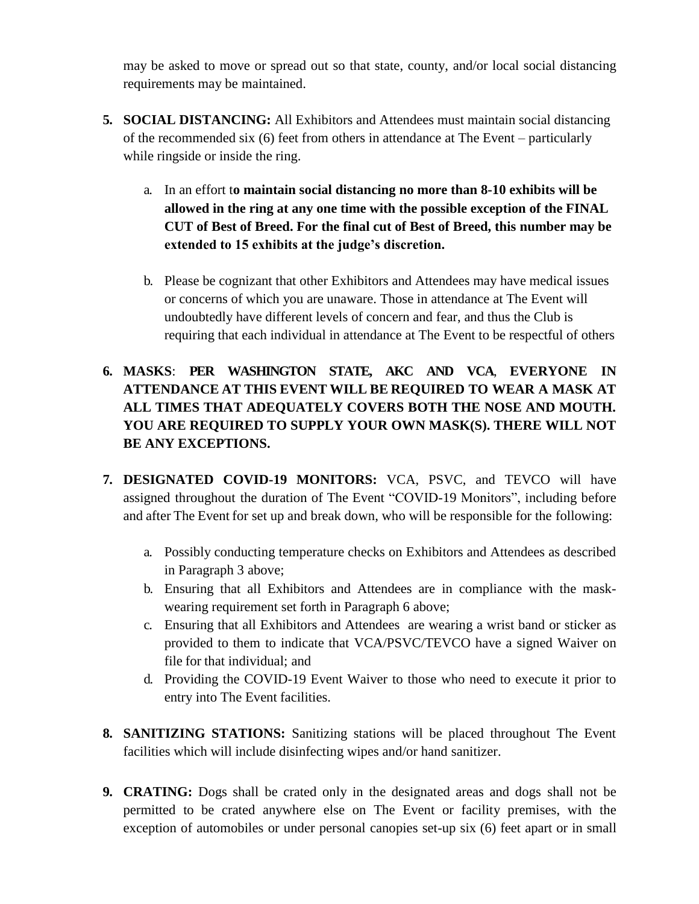may be asked to move or spread out so that state, county, and/or local social distancing requirements may be maintained.

- **5. SOCIAL DISTANCING:** All Exhibitors and Attendees must maintain social distancing of the recommended six (6) feet from others in attendance at The Event – particularly while ringside or inside the ring.
	- a. In an effort t**o maintain social distancing no more than 8-10 exhibits will be allowed in the ring at any one time with the possible exception of the FINAL CUT of Best of Breed. For the final cut of Best of Breed, this number may be extended to 15 exhibits at the judge's discretion.**
	- b. Please be cognizant that other Exhibitors and Attendees may have medical issues or concerns of which you are unaware. Those in attendance at The Event will undoubtedly have different levels of concern and fear, and thus the Club is requiring that each individual in attendance at The Event to be respectful of others
- **6. MASKS**: **PER WASHINGTON STATE, AKC AND VCA**, **EVERYONE IN ATTENDANCE AT THIS EVENT WILL BE REQUIRED TO WEAR A MASK AT ALL TIMES THAT ADEQUATELY COVERS BOTH THE NOSE AND MOUTH. YOU ARE REQUIRED TO SUPPLY YOUR OWN MASK(S). THERE WILL NOT BE ANY EXCEPTIONS.**
- **7. DESIGNATED COVID-19 MONITORS:** VCA, PSVC, and TEVCO will have assigned throughout the duration of The Event "COVID-19 Monitors", including before and after The Event for set up and break down, who will be responsible for the following:
	- a. Possibly conducting temperature checks on Exhibitors and Attendees as described in Paragraph 3 above;
	- b. Ensuring that all Exhibitors and Attendees are in compliance with the maskwearing requirement set forth in Paragraph 6 above;
	- c. Ensuring that all Exhibitors and Attendees are wearing a wrist band or sticker as provided to them to indicate that VCA/PSVC/TEVCO have a signed Waiver on file for that individual; and
	- d. Providing the COVID-19 Event Waiver to those who need to execute it prior to entry into The Event facilities.
- **8. SANITIZING STATIONS:** Sanitizing stations will be placed throughout The Event facilities which will include disinfecting wipes and/or hand sanitizer.
- **9. CRATING:** Dogs shall be crated only in the designated areas and dogs shall not be permitted to be crated anywhere else on The Event or facility premises, with the exception of automobiles or under personal canopies set-up six (6) feet apart or in small